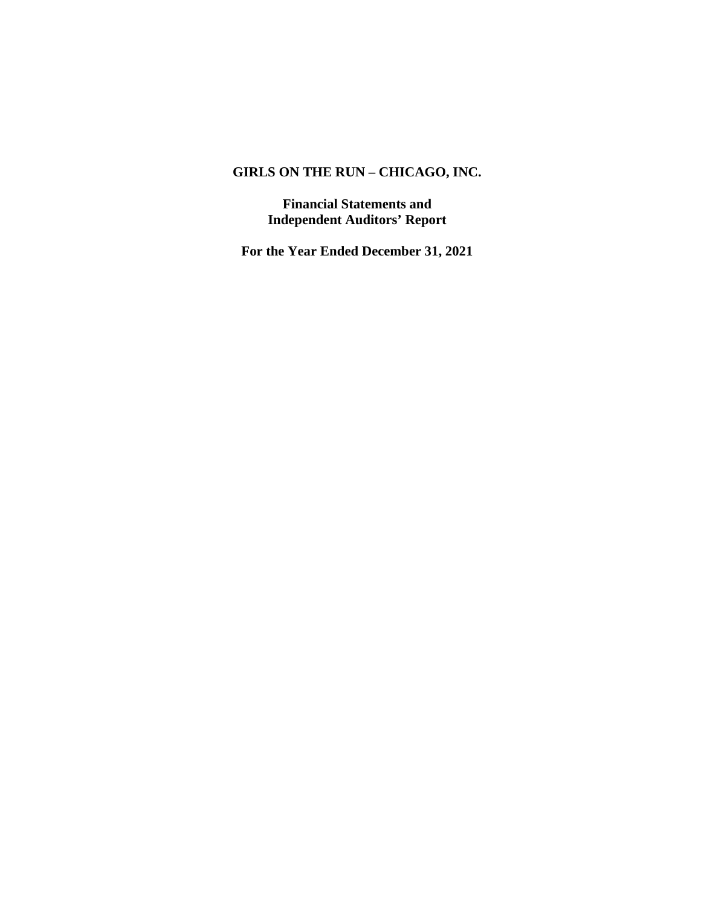**Financial Statements and Independent Auditors' Report**

**For the Year Ended December 31, 2021**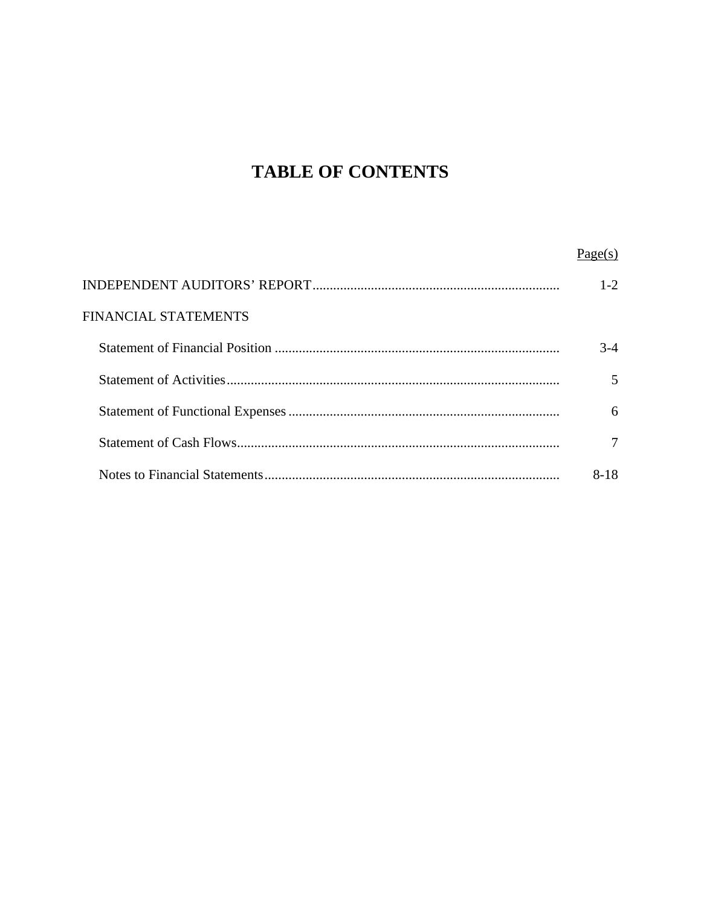# **TABLE OF CONTENTS**

|                      | $1 - 2$                 |
|----------------------|-------------------------|
| FINANCIAL STATEMENTS |                         |
|                      | $3-4$                   |
|                      | $\overline{\mathbf{5}}$ |
|                      | 6                       |
|                      |                         |
|                      | 8-18                    |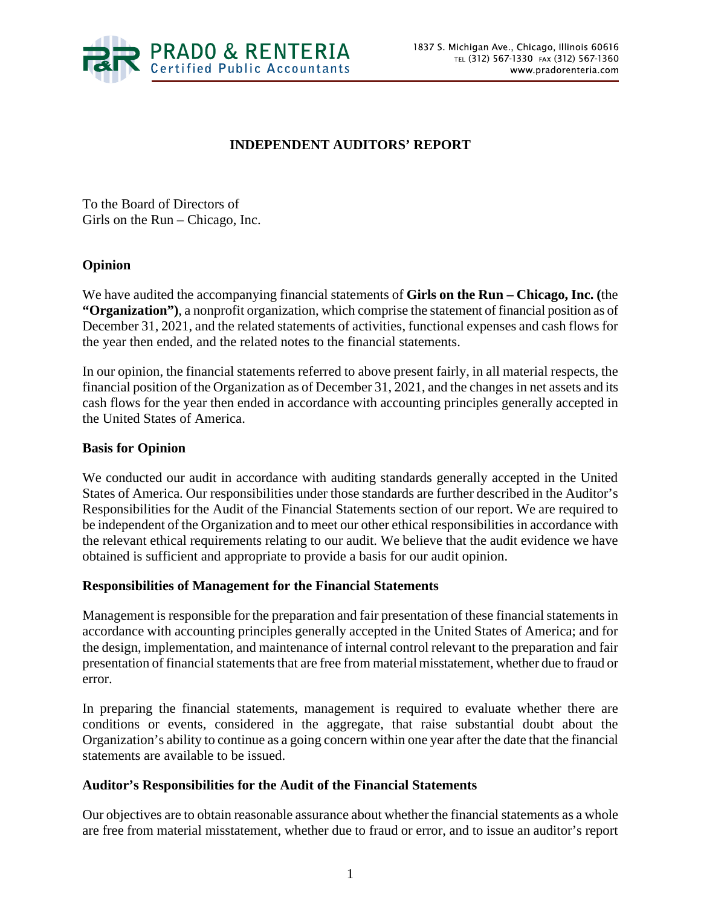

# **INDEPENDENT AUDITORS' REPORT**

To the Board of Directors of Girls on the Run – Chicago, Inc.

## **Opinion**

We have audited the accompanying financial statements of **Girls on the Run – Chicago, Inc. (**the **"Organization")**, a nonprofit organization, which comprise the statement of financial position as of December 31, 2021, and the related statements of activities, functional expenses and cash flows for the year then ended, and the related notes to the financial statements.

In our opinion, the financial statements referred to above present fairly, in all material respects, the financial position of the Organization as of December 31, 2021, and the changes in net assets and its cash flows for the year then ended in accordance with accounting principles generally accepted in the United States of America.

## **Basis for Opinion**

We conducted our audit in accordance with auditing standards generally accepted in the United States of America. Our responsibilities under those standards are further described in the Auditor's Responsibilities for the Audit of the Financial Statements section of our report. We are required to be independent of the Organization and to meet our other ethical responsibilities in accordance with the relevant ethical requirements relating to our audit. We believe that the audit evidence we have obtained is sufficient and appropriate to provide a basis for our audit opinion.

## **Responsibilities of Management for the Financial Statements**

Management is responsible for the preparation and fair presentation of these financial statements in accordance with accounting principles generally accepted in the United States of America; and for the design, implementation, and maintenance of internal control relevant to the preparation and fair presentation of financial statements that are free from material misstatement, whether due to fraud or error.

In preparing the financial statements, management is required to evaluate whether there are conditions or events, considered in the aggregate, that raise substantial doubt about the Organization's ability to continue as a going concern within one year after the date that the financial statements are available to be issued.

## **Auditor's Responsibilities for the Audit of the Financial Statements**

Our objectives are to obtain reasonable assurance about whether the financial statements as a whole are free from material misstatement, whether due to fraud or error, and to issue an auditor's report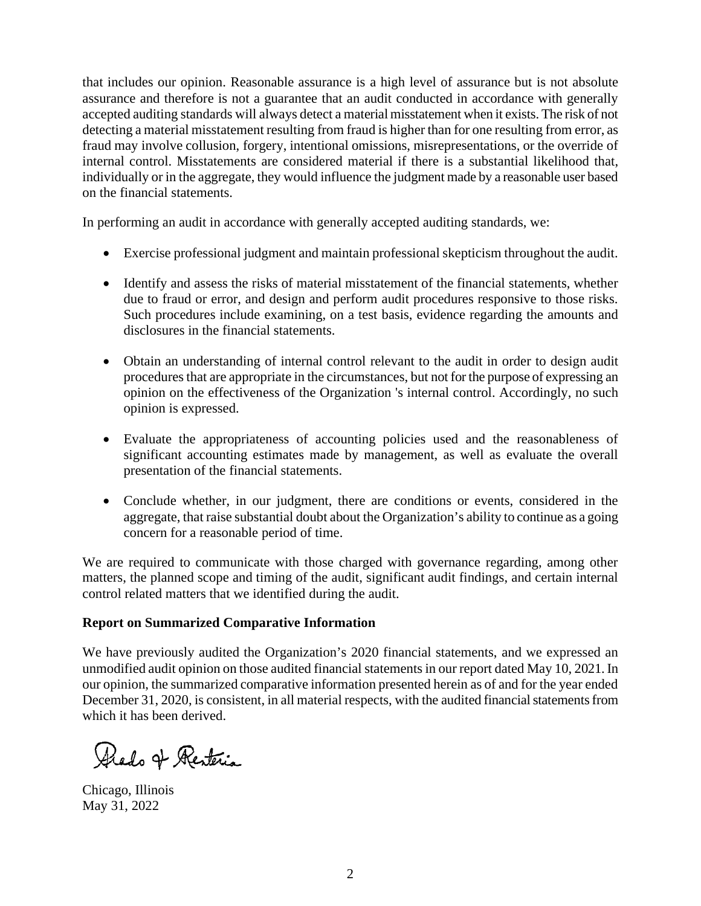that includes our opinion. Reasonable assurance is a high level of assurance but is not absolute assurance and therefore is not a guarantee that an audit conducted in accordance with generally accepted auditing standards will always detect a material misstatement when it exists. The risk of not detecting a material misstatement resulting from fraud is higher than for one resulting from error, as fraud may involve collusion, forgery, intentional omissions, misrepresentations, or the override of internal control. Misstatements are considered material if there is a substantial likelihood that, individually or in the aggregate, they would influence the judgment made by a reasonable user based on the financial statements.

In performing an audit in accordance with generally accepted auditing standards, we:

- · Exercise professional judgment and maintain professional skepticism throughout the audit.
- · Identify and assess the risks of material misstatement of the financial statements, whether due to fraud or error, and design and perform audit procedures responsive to those risks. Such procedures include examining, on a test basis, evidence regarding the amounts and disclosures in the financial statements.
- · Obtain an understanding of internal control relevant to the audit in order to design audit procedures that are appropriate in the circumstances, but not for the purpose of expressing an opinion on the effectiveness of the Organization 's internal control. Accordingly, no such opinion is expressed.
- · Evaluate the appropriateness of accounting policies used and the reasonableness of significant accounting estimates made by management, as well as evaluate the overall presentation of the financial statements.
- Conclude whether, in our judgment, there are conditions or events, considered in the aggregate, that raise substantial doubt about the Organization's ability to continue as a going concern for a reasonable period of time.

We are required to communicate with those charged with governance regarding, among other matters, the planned scope and timing of the audit, significant audit findings, and certain internal control related matters that we identified during the audit.

# **Report on Summarized Comparative Information**

We have previously audited the Organization's 2020 financial statements, and we expressed an unmodified audit opinion on those audited financial statements in our report dated May 10, 2021. In our opinion, the summarized comparative information presented herein as of and for the year ended December 31, 2020, is consistent, in all material respects, with the audited financial statements from which it has been derived.

Redo & Resteria

Chicago, Illinois May 31, 2022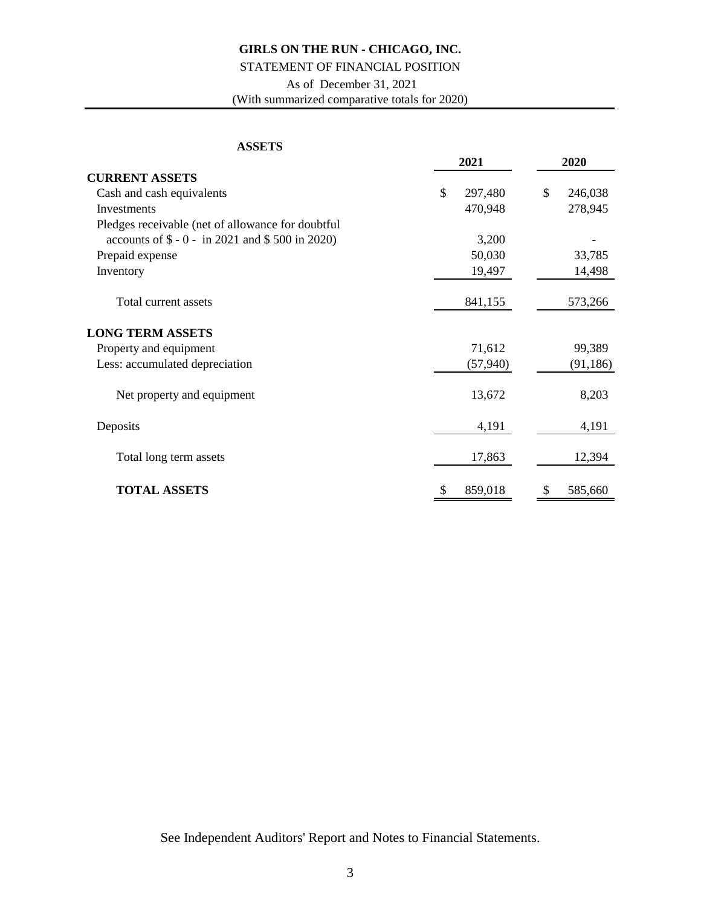# STATEMENT OF FINANCIAL POSITION

As of December 31, 2021

(With summarized comparative totals for 2020)

#### **ASSETS**

|                                                              | 2021          |               |  |  |
|--------------------------------------------------------------|---------------|---------------|--|--|
| <b>CURRENT ASSETS</b>                                        |               |               |  |  |
| Cash and cash equivalents                                    | \$<br>297,480 | \$<br>246,038 |  |  |
| Investments                                                  | 470,948       | 278,945       |  |  |
| Pledges receivable (net of allowance for doubtful            |               |               |  |  |
| accounts of $\$ - 0 - \text{in } 2021$ and $\$ 500$ in 2020) | 3,200         |               |  |  |
| Prepaid expense                                              | 50,030        | 33,785        |  |  |
| Inventory                                                    | 19,497        | 14,498        |  |  |
| Total current assets                                         | 841,155       | 573,266       |  |  |
| <b>LONG TERM ASSETS</b>                                      |               |               |  |  |
| Property and equipment                                       | 71,612        | 99,389        |  |  |
| Less: accumulated depreciation                               | (57, 940)     | (91, 186)     |  |  |
| Net property and equipment                                   | 13,672        | 8,203         |  |  |
| Deposits                                                     | 4,191         | 4,191         |  |  |
| Total long term assets                                       | 17,863        | 12,394        |  |  |
| <b>TOTAL ASSETS</b>                                          | 859,018       | 585,660       |  |  |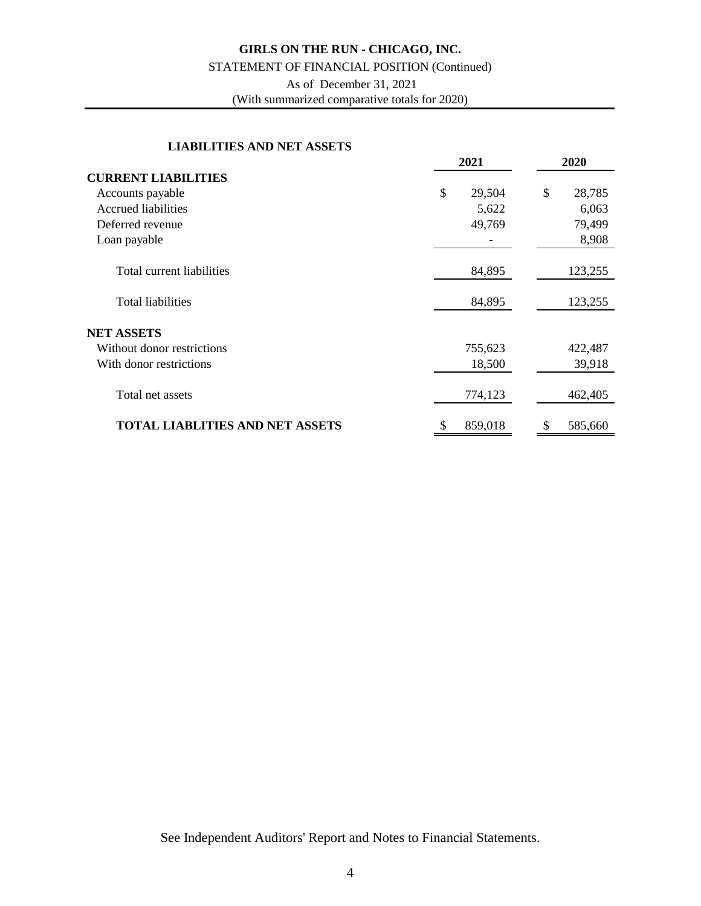# STATEMENT OF FINANCIAL POSITION (Continued) As of December 31, 2021 **GIRLS ON THE RUN - CHICAGO, INC.**

(With summarized comparative totals for 2020)

#### **LIABILITIES AND NET ASSETS**

|                                        | 2021          | 2020         |  |  |
|----------------------------------------|---------------|--------------|--|--|
| <b>CURRENT LIABILITIES</b>             |               |              |  |  |
| Accounts payable                       | \$<br>29,504  | \$<br>28,785 |  |  |
| <b>Accrued liabilities</b>             | 5,622         | 6,063        |  |  |
| Deferred revenue                       | 49,769        | 79,499       |  |  |
| Loan payable                           |               | 8,908        |  |  |
| Total current liabilities              | 84,895        | 123,255      |  |  |
| <b>Total liabilities</b>               | 84,895        | 123,255      |  |  |
| <b>NET ASSETS</b>                      |               |              |  |  |
| Without donor restrictions             | 755,623       | 422,487      |  |  |
| With donor restrictions                | 18,500        | 39,918       |  |  |
| Total net assets                       | 774,123       | 462,405      |  |  |
| <b>TOTAL LIABLITIES AND NET ASSETS</b> | 859,018<br>\$ | 585,660<br>S |  |  |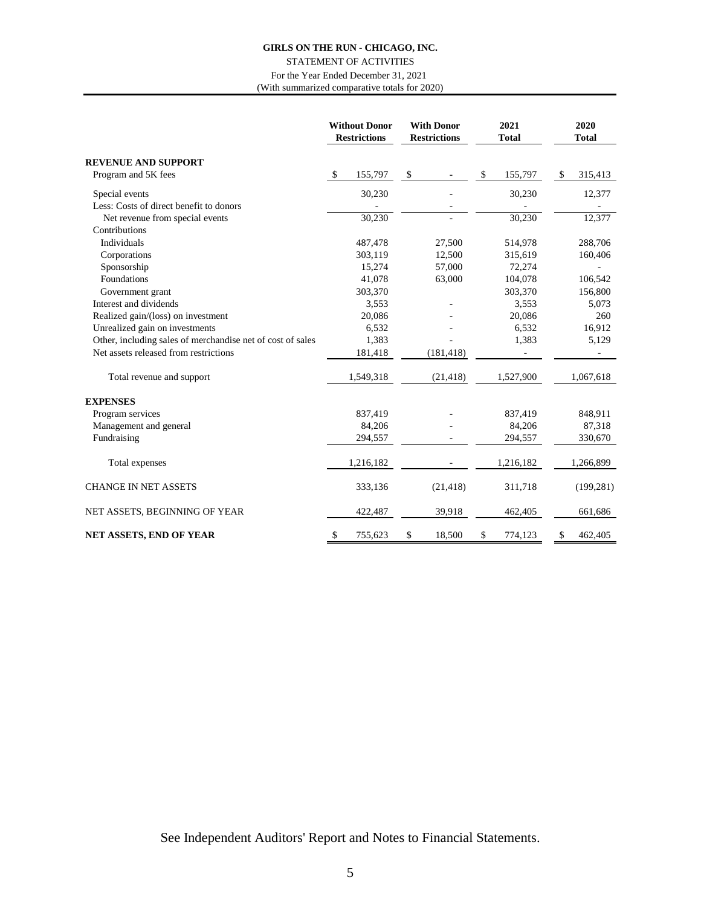#### STATEMENT OF ACTIVITIES

For the Year Ended December 31, 2021

(With summarized comparative totals for 2020)

|                                                            |            | <b>Without Donor</b><br><b>Restrictions</b> | <b>With Donor</b><br><b>Restrictions</b> | 2021<br><b>Total</b> | 2020<br><b>Total</b> |  |
|------------------------------------------------------------|------------|---------------------------------------------|------------------------------------------|----------------------|----------------------|--|
| <b>REVENUE AND SUPPORT</b>                                 |            |                                             |                                          |                      |                      |  |
| Program and 5K fees                                        | $\sqrt{2}$ | 155,797                                     | \$                                       | \$<br>155,797        | \$<br>315,413        |  |
| Special events                                             |            | 30,230                                      |                                          | 30,230               | 12,377               |  |
| Less: Costs of direct benefit to donors                    |            |                                             |                                          |                      |                      |  |
| Net revenue from special events                            |            | 30,230                                      |                                          | 30,230               | 12,377               |  |
| Contributions                                              |            |                                             |                                          |                      |                      |  |
| Individuals                                                |            | 487,478                                     | 27,500                                   | 514,978              | 288,706              |  |
| Corporations                                               |            | 303,119                                     | 12,500                                   | 315,619              | 160,406              |  |
| Sponsorship                                                |            | 15,274                                      | 57,000                                   | 72,274               |                      |  |
| Foundations                                                |            | 41,078                                      | 63,000                                   | 104,078              | 106,542              |  |
| Government grant                                           |            | 303,370                                     |                                          | 303,370              | 156,800              |  |
| Interest and dividends                                     |            | 3,553                                       |                                          | 3,553                | 5,073                |  |
| Realized gain/(loss) on investment                         |            | 20,086                                      |                                          | 20,086               | 260                  |  |
| Unrealized gain on investments                             |            | 6,532                                       |                                          | 6,532                | 16,912               |  |
| Other, including sales of merchandise net of cost of sales |            | 1,383                                       |                                          | 1,383                | 5,129                |  |
| Net assets released from restrictions                      |            | 181,418                                     | (181, 418)                               |                      |                      |  |
| Total revenue and support                                  |            | 1,549,318                                   | (21, 418)                                | 1,527,900            | 1,067,618            |  |
| <b>EXPENSES</b>                                            |            |                                             |                                          |                      |                      |  |
| Program services                                           |            | 837,419                                     |                                          | 837,419              | 848,911              |  |
| Management and general                                     |            | 84,206                                      |                                          | 84.206               | 87,318               |  |
| Fundraising                                                |            | 294,557                                     |                                          | 294,557              | 330,670              |  |
| Total expenses                                             |            | 1,216,182                                   |                                          | 1,216,182            | 1,266,899            |  |
| <b>CHANGE IN NET ASSETS</b>                                |            | 333,136                                     | (21, 418)                                | 311,718              | (199, 281)           |  |
| NET ASSETS, BEGINNING OF YEAR                              |            | 422,487                                     | 39,918                                   | 462,405              | 661,686              |  |
| NET ASSETS, END OF YEAR                                    | \$         | 755,623                                     | \$<br>18,500                             | \$<br>774,123        | \$<br>462,405        |  |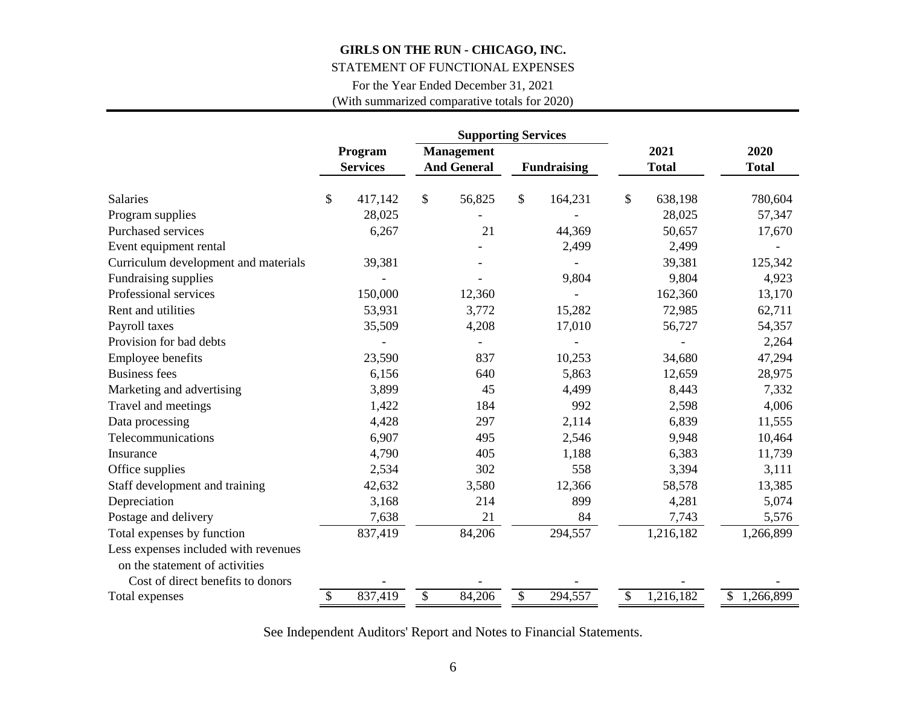## STATEMENT OF FUNCTIONAL EXPENSES

For the Year Ended December 31, 2021

(With summarized comparative totals for 2020)

|                                      |       |                 | <b>Supporting Services</b> |                                         |                          |         |                 |             |  |  |  |  |  |                    |
|--------------------------------------|-------|-----------------|----------------------------|-----------------------------------------|--------------------------|---------|-----------------|-------------|--|--|--|--|--|--------------------|
|                                      |       | Program         |                            | <b>Management</b><br><b>And General</b> |                          |         | 2021            | 2020        |  |  |  |  |  |                    |
|                                      |       | <b>Services</b> |                            |                                         |                          |         |                 |             |  |  |  |  |  | <b>Fundraising</b> |
| <b>Salaries</b>                      | \$    | 417,142         | $\mathcal{S}$              | 56,825                                  | $\mathcal{S}$            | 164,231 | \$<br>638,198   | 780,604     |  |  |  |  |  |                    |
| Program supplies                     |       | 28,025          |                            |                                         |                          |         | 28,025          | 57,347      |  |  |  |  |  |                    |
| <b>Purchased services</b>            |       | 6,267           |                            | 21                                      |                          | 44,369  | 50,657          | 17,670      |  |  |  |  |  |                    |
| Event equipment rental               |       |                 |                            |                                         |                          | 2,499   | 2,499           |             |  |  |  |  |  |                    |
| Curriculum development and materials |       | 39,381          |                            |                                         |                          |         | 39,381          | 125,342     |  |  |  |  |  |                    |
| Fundraising supplies                 |       |                 |                            |                                         |                          | 9,804   | 9,804           | 4,923       |  |  |  |  |  |                    |
| Professional services                |       | 150,000         |                            | 12,360                                  |                          |         | 162,360         | 13,170      |  |  |  |  |  |                    |
| Rent and utilities                   |       | 53,931          |                            | 3,772                                   |                          | 15,282  | 72,985          | 62,711      |  |  |  |  |  |                    |
| Payroll taxes                        |       | 35,509          |                            | 4,208                                   |                          | 17,010  | 56,727          | 54,357      |  |  |  |  |  |                    |
| Provision for bad debts              |       |                 |                            |                                         |                          |         |                 | 2,264       |  |  |  |  |  |                    |
| Employee benefits                    |       | 23,590          |                            | 837                                     |                          | 10,253  | 34,680          | 47,294      |  |  |  |  |  |                    |
| <b>Business fees</b>                 |       | 6,156           |                            | 640                                     |                          | 5,863   | 12,659          | 28,975      |  |  |  |  |  |                    |
| Marketing and advertising            |       | 3,899           |                            | 45                                      |                          | 4,499   | 8,443           | 7,332       |  |  |  |  |  |                    |
| Travel and meetings                  |       | 1,422           |                            | 184                                     |                          | 992     | 2,598           | 4,006       |  |  |  |  |  |                    |
| Data processing                      |       | 4,428           |                            | 297                                     |                          | 2,114   | 6,839           | 11,555      |  |  |  |  |  |                    |
| Telecommunications                   |       | 6,907           |                            | 495                                     |                          | 2,546   | 9,948           | 10,464      |  |  |  |  |  |                    |
| Insurance                            |       | 4,790           |                            | 405                                     |                          | 1,188   | 6,383           | 11,739      |  |  |  |  |  |                    |
| Office supplies                      |       | 2,534           |                            | 302                                     |                          | 558     | 3,394           | 3,111       |  |  |  |  |  |                    |
| Staff development and training       |       | 42,632          |                            | 3,580                                   |                          | 12,366  | 58,578          | 13,385      |  |  |  |  |  |                    |
| Depreciation                         |       | 3,168           |                            | 214                                     |                          | 899     | 4,281           | 5,074       |  |  |  |  |  |                    |
| Postage and delivery                 |       | 7,638           |                            | 21                                      |                          | 84      | 7,743           | 5,576       |  |  |  |  |  |                    |
| Total expenses by function           |       | 837,419         |                            | 84,206                                  |                          | 294,557 | 1,216,182       | 1,266,899   |  |  |  |  |  |                    |
| Less expenses included with revenues |       |                 |                            |                                         |                          |         |                 |             |  |  |  |  |  |                    |
| on the statement of activities       |       |                 |                            |                                         |                          |         |                 |             |  |  |  |  |  |                    |
| Cost of direct benefits to donors    |       |                 |                            |                                         |                          |         |                 |             |  |  |  |  |  |                    |
| Total expenses                       | $\$\$ | 837,419         | $\overline{\mathcal{S}}$   | 84,206                                  | $\overline{\mathcal{S}}$ | 294,557 | \$<br>1,216,182 | \$1,266,899 |  |  |  |  |  |                    |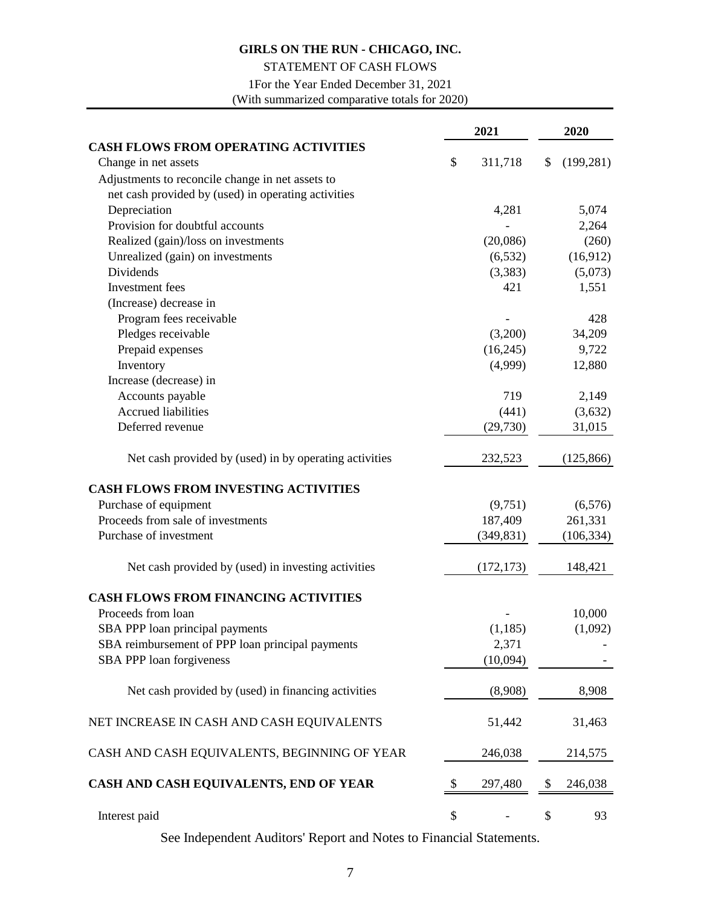# STATEMENT OF CASH FLOWS

(With summarized comparative totals for 2020) 1For the Year Ended December 31, 2021

|                                                        |                           | 2021       | 2020             |
|--------------------------------------------------------|---------------------------|------------|------------------|
| <b>CASH FLOWS FROM OPERATING ACTIVITIES</b>            |                           |            |                  |
| Change in net assets                                   | \$                        | 311,718    | \$<br>(199, 281) |
| Adjustments to reconcile change in net assets to       |                           |            |                  |
| net cash provided by (used) in operating activities    |                           |            |                  |
| Depreciation                                           |                           | 4,281      | 5,074            |
| Provision for doubtful accounts                        |                           |            | 2,264            |
| Realized (gain)/loss on investments                    |                           | (20,086)   | (260)            |
| Unrealized (gain) on investments                       |                           | (6, 532)   | (16,912)         |
| Dividends                                              |                           | (3,383)    | (5,073)          |
| <b>Investment</b> fees                                 |                           | 421        | 1,551            |
| (Increase) decrease in                                 |                           |            |                  |
| Program fees receivable                                |                           |            | 428              |
| Pledges receivable                                     |                           | (3,200)    | 34,209           |
| Prepaid expenses                                       |                           | (16,245)   | 9,722            |
| Inventory                                              |                           | (4,999)    | 12,880           |
| Increase (decrease) in                                 |                           |            |                  |
| Accounts payable                                       |                           | 719        | 2,149            |
| <b>Accrued liabilities</b>                             |                           | (441)      | (3,632)          |
| Deferred revenue                                       |                           | (29,730)   | 31,015           |
| Net cash provided by (used) in by operating activities |                           | 232,523    | (125, 866)       |
| <b>CASH FLOWS FROM INVESTING ACTIVITIES</b>            |                           |            |                  |
| Purchase of equipment                                  |                           | (9,751)    | (6, 576)         |
| Proceeds from sale of investments                      |                           | 187,409    | 261,331          |
| Purchase of investment                                 |                           | (349, 831) | (106, 334)       |
| Net cash provided by (used) in investing activities    |                           | (172, 173) | 148,421          |
| <b>CASH FLOWS FROM FINANCING ACTIVITIES</b>            |                           |            |                  |
| Proceeds from loan                                     |                           |            | 10,000           |
| SBA PPP loan principal payments                        |                           | (1, 185)   | (1,092)          |
| SBA reimbursement of PPP loan principal payments       |                           | 2,371      |                  |
| SBA PPP loan forgiveness                               |                           | (10,094)   |                  |
| Net cash provided by (used) in financing activities    |                           | (8,908)    | 8,908            |
| NET INCREASE IN CASH AND CASH EQUIVALENTS              |                           | 51,442     | 31,463           |
| CASH AND CASH EQUIVALENTS, BEGINNING OF YEAR           |                           | 246,038    | 214,575          |
| CASH AND CASH EQUIVALENTS, END OF YEAR                 | $\boldsymbol{\mathsf{S}}$ | 297,480    | \$<br>246,038    |
| Interest paid                                          | \$                        |            | \$<br>93         |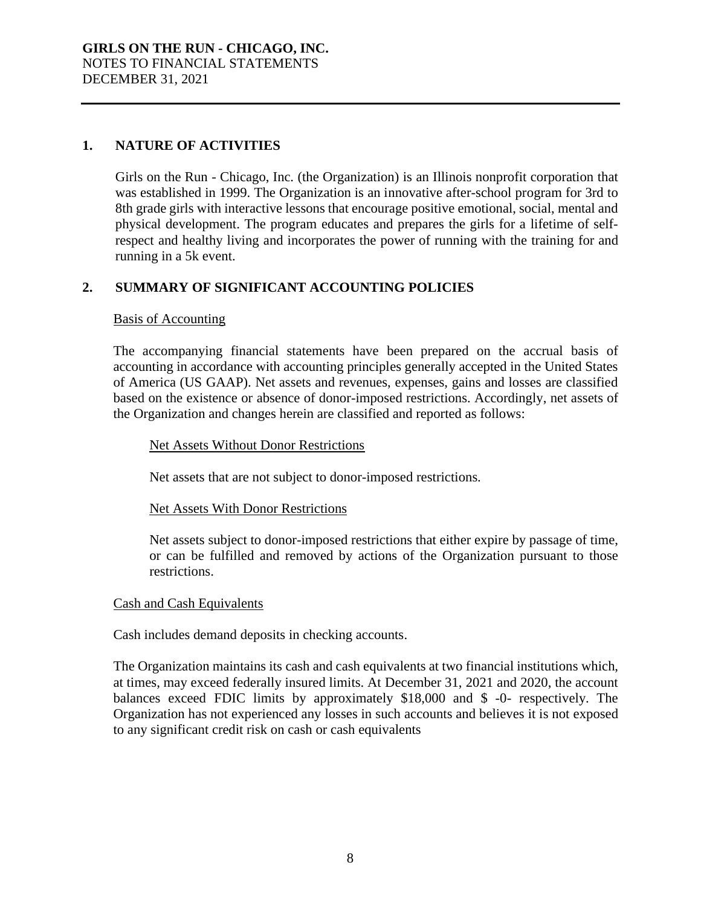# **1. NATURE OF ACTIVITIES**

Girls on the Run - Chicago, Inc. (the Organization) is an Illinois nonprofit corporation that was established in 1999. The Organization is an innovative after-school program for 3rd to 8th grade girls with interactive lessons that encourage positive emotional, social, mental and physical development. The program educates and prepares the girls for a lifetime of selfrespect and healthy living and incorporates the power of running with the training for and running in a 5k event.

# **2. SUMMARY OF SIGNIFICANT ACCOUNTING POLICIES**

## Basis of Accounting

The accompanying financial statements have been prepared on the accrual basis of accounting in accordance with accounting principles generally accepted in the United States of America (US GAAP). Net assets and revenues, expenses, gains and losses are classified based on the existence or absence of donor-imposed restrictions. Accordingly, net assets of the Organization and changes herein are classified and reported as follows:

## Net Assets Without Donor Restrictions

Net assets that are not subject to donor-imposed restrictions.

## Net Assets With Donor Restrictions

Net assets subject to donor-imposed restrictions that either expire by passage of time, or can be fulfilled and removed by actions of the Organization pursuant to those restrictions.

#### Cash and Cash Equivalents

Cash includes demand deposits in checking accounts.

The Organization maintains its cash and cash equivalents at two financial institutions which, at times, may exceed federally insured limits. At December 31, 2021 and 2020, the account balances exceed FDIC limits by approximately \$18,000 and \$ -0- respectively. The Organization has not experienced any losses in such accounts and believes it is not exposed to any significant credit risk on cash or cash equivalents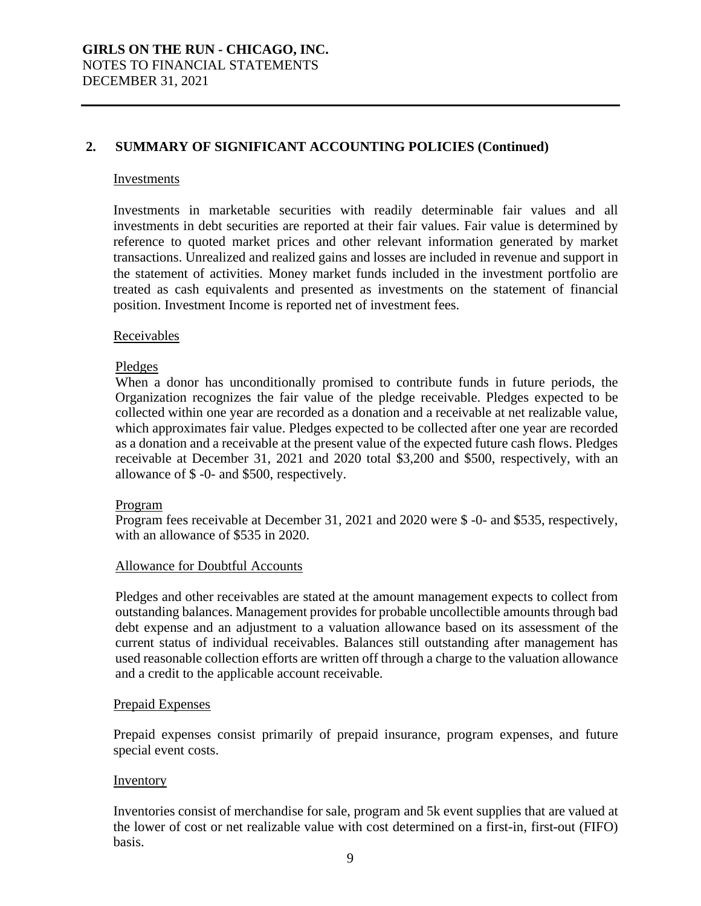#### Investments

Investments in marketable securities with readily determinable fair values and all investments in debt securities are reported at their fair values. Fair value is determined by reference to quoted market prices and other relevant information generated by market transactions. Unrealized and realized gains and losses are included in revenue and support in the statement of activities. Money market funds included in the investment portfolio are treated as cash equivalents and presented as investments on the statement of financial position. Investment Income is reported net of investment fees.

#### Receivables

## Pledges

When a donor has unconditionally promised to contribute funds in future periods, the Organization recognizes the fair value of the pledge receivable. Pledges expected to be collected within one year are recorded as a donation and a receivable at net realizable value, which approximates fair value. Pledges expected to be collected after one year are recorded as a donation and a receivable at the present value of the expected future cash flows. Pledges receivable at December 31, 2021 and 2020 total \$3,200 and \$500, respectively, with an allowance of \$ -0- and \$500, respectively.

#### Program

Program fees receivable at December 31, 2021 and 2020 were \$ -0- and \$535, respectively, with an allowance of \$535 in 2020.

#### Allowance for Doubtful Accounts

Pledges and other receivables are stated at the amount management expects to collect from outstanding balances. Management provides for probable uncollectible amounts through bad debt expense and an adjustment to a valuation allowance based on its assessment of the current status of individual receivables. Balances still outstanding after management has used reasonable collection efforts are written off through a charge to the valuation allowance and a credit to the applicable account receivable.

#### Prepaid Expenses

Prepaid expenses consist primarily of prepaid insurance, program expenses, and future special event costs.

#### Inventory

Inventories consist of merchandise for sale, program and 5k event supplies that are valued at the lower of cost or net realizable value with cost determined on a first-in, first-out (FIFO) basis.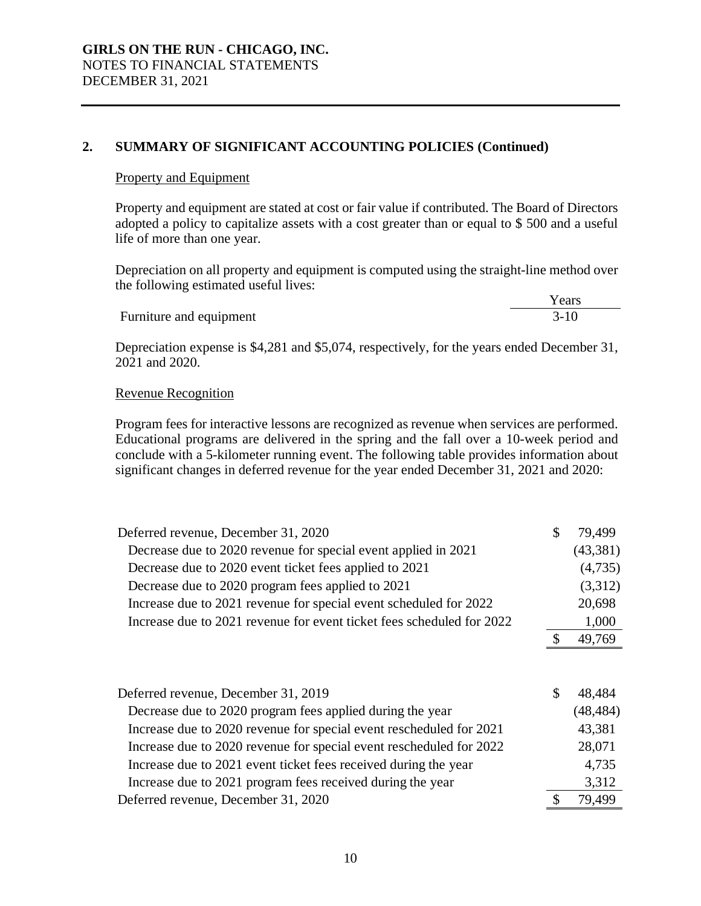#### Property and Equipment

Property and equipment are stated at cost or fair value if contributed. The Board of Directors adopted a policy to capitalize assets with a cost greater than or equal to \$ 500 and a useful life of more than one year.

Depreciation on all property and equipment is computed using the straight-line method over the following estimated useful lives:

|                         | Years  |
|-------------------------|--------|
| Furniture and equipment | $3-10$ |

Depreciation expense is \$4,281 and \$5,074, respectively, for the years ended December 31, 2021 and 2020.

#### Revenue Recognition

Program fees for interactive lessons are recognized as revenue when services are performed. Educational programs are delivered in the spring and the fall over a 10-week period and conclude with a 5-kilometer running event. The following table provides information about significant changes in deferred revenue for the year ended December 31, 2021 and 2020:

| Deferred revenue, December 31, 2020                                   | \$<br>79,499 |
|-----------------------------------------------------------------------|--------------|
| Decrease due to 2020 revenue for special event applied in 2021        | (43, 381)    |
| Decrease due to 2020 event ticket fees applied to 2021                | (4,735)      |
| Decrease due to 2020 program fees applied to 2021                     | (3,312)      |
| Increase due to 2021 revenue for special event scheduled for 2022     | 20,698       |
| Increase due to 2021 revenue for event ticket fees scheduled for 2022 | 1,000        |
|                                                                       | 49,769       |
| Deferred revenue, December 31, 2019                                   | \$<br>48,484 |
| Decrease due to 2020 program fees applied during the year             | (48, 484)    |
| Increase due to 2020 revenue for special event rescheduled for 2021   | 43,381       |
| Increase due to 2020 revenue for special event rescheduled for 2022   | 28,071       |
| Increase due to 2021 event ticket fees received during the year       | 4,735        |
| Increase due to 2021 program fees received during the year            | 3,312        |
| Deferred revenue, December 31, 2020                                   | 79,499       |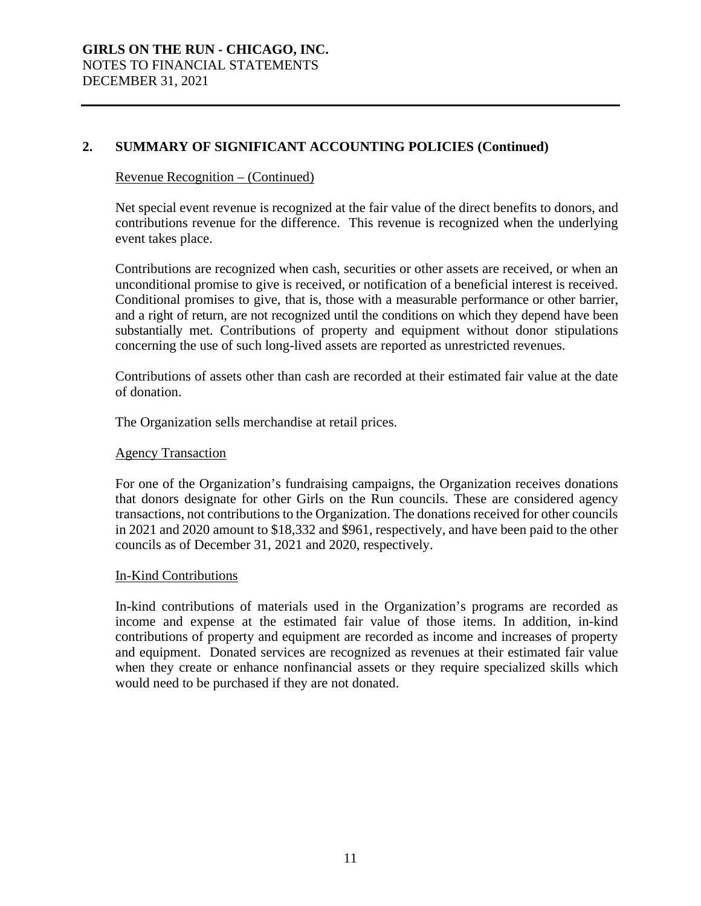## Revenue Recognition – (Continued)

Net special event revenue is recognized at the fair value of the direct benefits to donors, and contributions revenue for the difference. This revenue is recognized when the underlying event takes place.

Contributions are recognized when cash, securities or other assets are received, or when an unconditional promise to give is received, or notification of a beneficial interest is received. Conditional promises to give, that is, those with a measurable performance or other barrier, and a right of return, are not recognized until the conditions on which they depend have been substantially met. Contributions of property and equipment without donor stipulations concerning the use of such long-lived assets are reported as unrestricted revenues.

Contributions of assets other than cash are recorded at their estimated fair value at the date of donation.

The Organization sells merchandise at retail prices.

#### Agency Transaction

For one of the Organization's fundraising campaigns, the Organization receives donations that donors designate for other Girls on the Run councils. These are considered agency transactions, not contributions to the Organization. The donations received for other councils in 2021 and 2020 amount to \$18,332 and \$961, respectively, and have been paid to the other councils as of December 31, 2021 and 2020, respectively.

#### In-Kind Contributions

In-kind contributions of materials used in the Organization's programs are recorded as income and expense at the estimated fair value of those items. In addition, in-kind contributions of property and equipment are recorded as income and increases of property and equipment. Donated services are recognized as revenues at their estimated fair value when they create or enhance nonfinancial assets or they require specialized skills which would need to be purchased if they are not donated.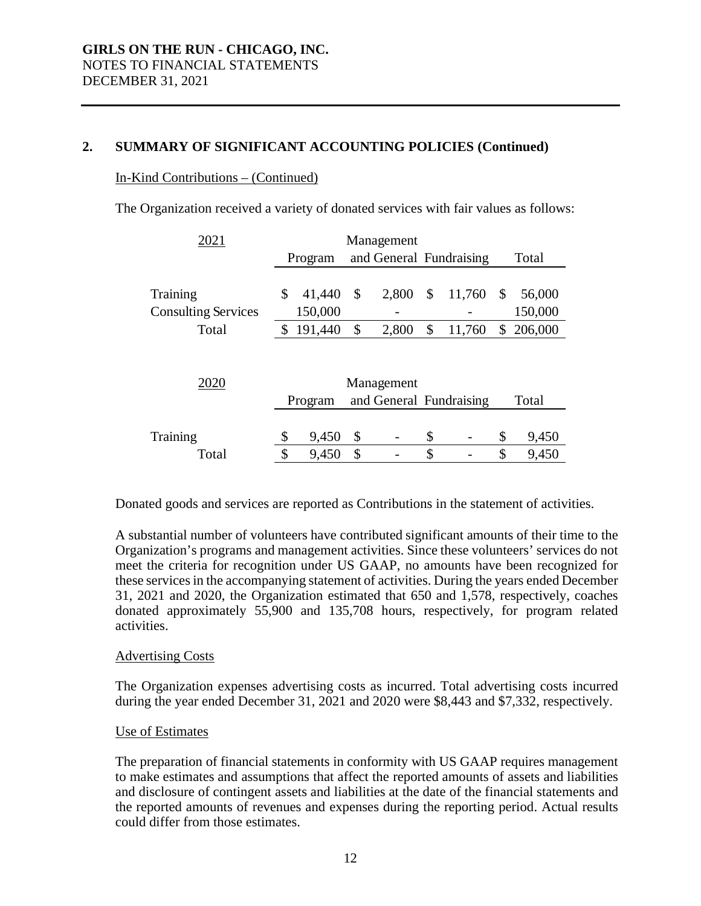#### In-Kind Contributions – (Continued)

The Organization received a variety of donated services with fair values as follows:

| 2021                       | Management |         |    |            |    |                         |               |
|----------------------------|------------|---------|----|------------|----|-------------------------|---------------|
|                            |            | Program |    |            |    | and General Fundraising | Total         |
|                            |            |         |    |            |    |                         |               |
| Training                   | \$         | 41,440  | \$ | 2,800      | \$ | 11,760                  | \$<br>56,000  |
| <b>Consulting Services</b> |            | 150,000 |    |            |    |                         | 150,000       |
| Total                      | \$         | 191,440 | \$ | 2,800      | \$ | 11,760                  | \$<br>206,000 |
|                            |            |         |    |            |    |                         |               |
|                            |            |         |    |            |    |                         |               |
| 2020                       |            |         |    | Management |    |                         |               |
|                            |            | Program |    |            |    | and General Fundraising | Total         |
|                            |            |         |    |            |    |                         |               |
| Training                   | \$         | 9,450   | \$ |            | \$ |                         | \$<br>9,450   |
| Total                      | \$         | 9,450   | \$ |            | \$ |                         | \$<br>9,450   |

Donated goods and services are reported as Contributions in the statement of activities.

A substantial number of volunteers have contributed significant amounts of their time to the Organization's programs and management activities. Since these volunteers' services do not meet the criteria for recognition under US GAAP, no amounts have been recognized for these services in the accompanying statement of activities. During the years ended December 31, 2021 and 2020, the Organization estimated that 650 and 1,578, respectively, coaches donated approximately 55,900 and 135,708 hours, respectively, for program related activities.

#### Advertising Costs

The Organization expenses advertising costs as incurred. Total advertising costs incurred during the year ended December 31, 2021 and 2020 were \$8,443 and \$7,332, respectively.

#### Use of Estimates

The preparation of financial statements in conformity with US GAAP requires management to make estimates and assumptions that affect the reported amounts of assets and liabilities and disclosure of contingent assets and liabilities at the date of the financial statements and the reported amounts of revenues and expenses during the reporting period. Actual results could differ from those estimates.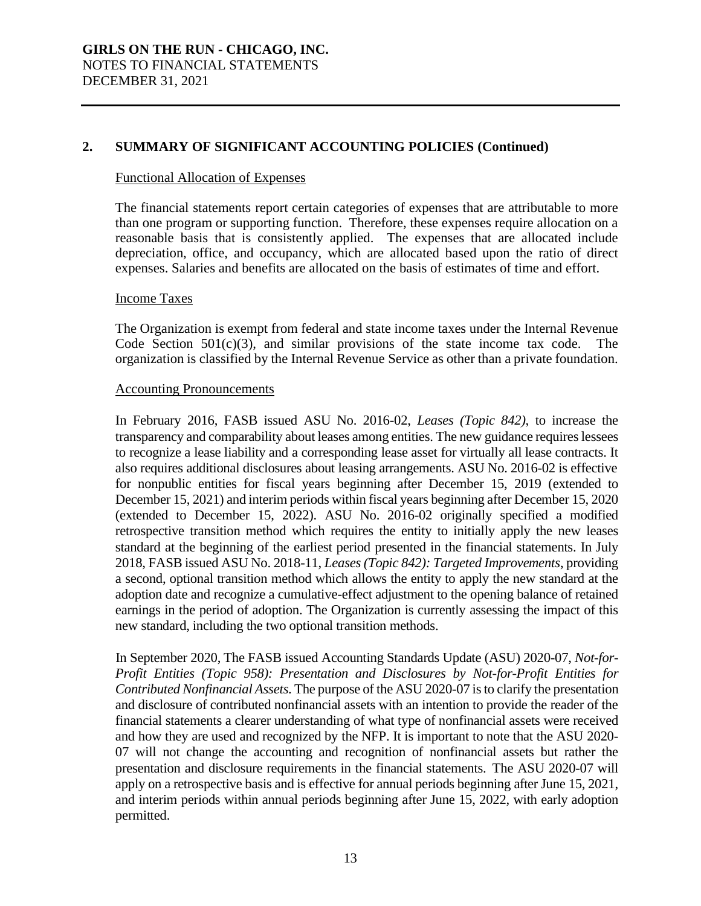#### Functional Allocation of Expenses

The financial statements report certain categories of expenses that are attributable to more than one program or supporting function. Therefore, these expenses require allocation on a reasonable basis that is consistently applied. The expenses that are allocated include depreciation, office, and occupancy, which are allocated based upon the ratio of direct expenses. Salaries and benefits are allocated on the basis of estimates of time and effort.

#### Income Taxes

The Organization is exempt from federal and state income taxes under the Internal Revenue Code Section  $501(c)(3)$ , and similar provisions of the state income tax code. The organization is classified by the Internal Revenue Service as other than a private foundation.

#### Accounting Pronouncements

In February 2016, FASB issued ASU No. 2016-02, *Leases (Topic 842)*, to increase the transparency and comparability about leases among entities. The new guidance requires lessees to recognize a lease liability and a corresponding lease asset for virtually all lease contracts. It also requires additional disclosures about leasing arrangements. ASU No. 2016-02 is effective for nonpublic entities for fiscal years beginning after December 15, 2019 (extended to December 15, 2021) and interim periods within fiscal years beginning after December 15, 2020 (extended to December 15, 2022). ASU No. 2016-02 originally specified a modified retrospective transition method which requires the entity to initially apply the new leases standard at the beginning of the earliest period presented in the financial statements. In July 2018, FASB issued ASU No. 2018-11, *Leases (Topic 842): Targeted Improvements*, providing a second, optional transition method which allows the entity to apply the new standard at the adoption date and recognize a cumulative-effect adjustment to the opening balance of retained earnings in the period of adoption. The Organization is currently assessing the impact of this new standard, including the two optional transition methods.

In September 2020, The FASB issued Accounting Standards Update (ASU) 2020-07, *Not-for-Profit Entities (Topic 958): Presentation and Disclosures by Not-for-Profit Entities for Contributed Nonfinancial Assets*. The purpose of the ASU 2020-07 is to clarify the presentation and disclosure of contributed nonfinancial assets with an intention to provide the reader of the financial statements a clearer understanding of what type of nonfinancial assets were received and how they are used and recognized by the NFP. It is important to note that the ASU 2020- 07 will not change the accounting and recognition of nonfinancial assets but rather the presentation and disclosure requirements in the financial statements. The ASU 2020-07 will apply on a retrospective basis and is effective for annual periods beginning after June 15, 2021, and interim periods within annual periods beginning after June 15, 2022, with early adoption permitted.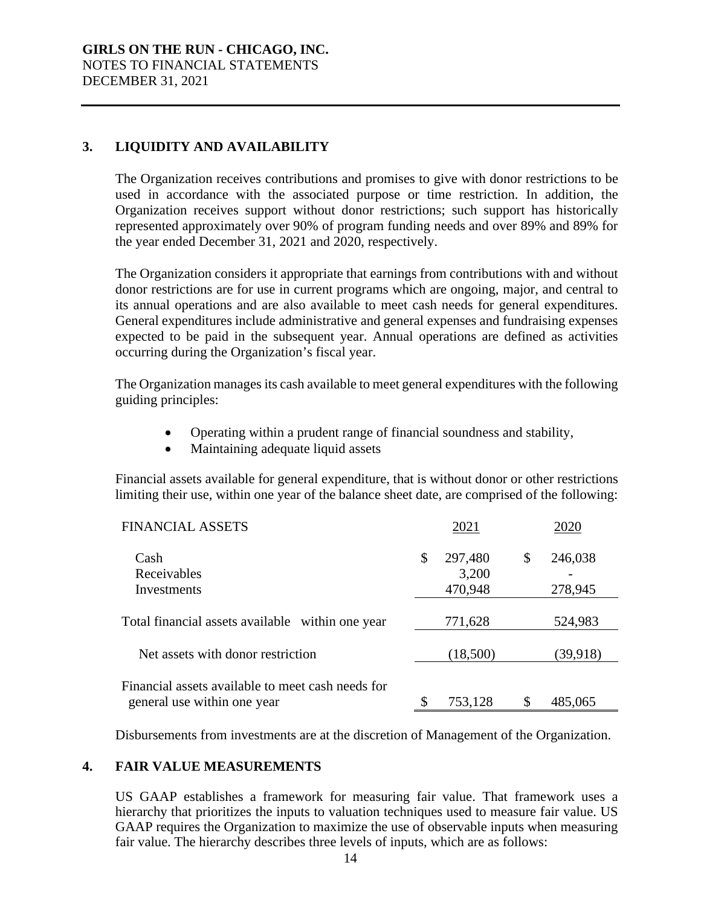# **3. LIQUIDITY AND AVAILABILITY**

The Organization receives contributions and promises to give with donor restrictions to be used in accordance with the associated purpose or time restriction. In addition, the Organization receives support without donor restrictions; such support has historically represented approximately over 90% of program funding needs and over 89% and 89% for the year ended December 31, 2021 and 2020, respectively.

The Organization considers it appropriate that earnings from contributions with and without donor restrictions are for use in current programs which are ongoing, major, and central to its annual operations and are also available to meet cash needs for general expenditures. General expenditures include administrative and general expenses and fundraising expenses expected to be paid in the subsequent year. Annual operations are defined as activities occurring during the Organization's fiscal year.

The Organization manages its cash available to meet general expenditures with the following guiding principles:

- Operating within a prudent range of financial soundness and stability,
- Maintaining adequate liquid assets

Financial assets available for general expenditure, that is without donor or other restrictions limiting their use, within one year of the balance sheet date, are comprised of the following:

| <b>FINANCIAL ASSETS</b>                                                          | 2021                   | 2020          |
|----------------------------------------------------------------------------------|------------------------|---------------|
| Cash<br>Receivables                                                              | \$<br>297,480<br>3,200 | \$<br>246,038 |
| Investments                                                                      | 470,948                | 278,945       |
| Total financial assets available within one year                                 | 771,628                | 524,983       |
| Net assets with donor restriction                                                | (18,500)               | (39, 918)     |
| Financial assets available to meet cash needs for<br>general use within one year | \$<br>753,128          | 485,065       |

Disbursements from investments are at the discretion of Management of the Organization.

## **4. FAIR VALUE MEASUREMENTS**

US GAAP establishes a framework for measuring fair value. That framework uses a hierarchy that prioritizes the inputs to valuation techniques used to measure fair value. US GAAP requires the Organization to maximize the use of observable inputs when measuring fair value. The hierarchy describes three levels of inputs, which are as follows: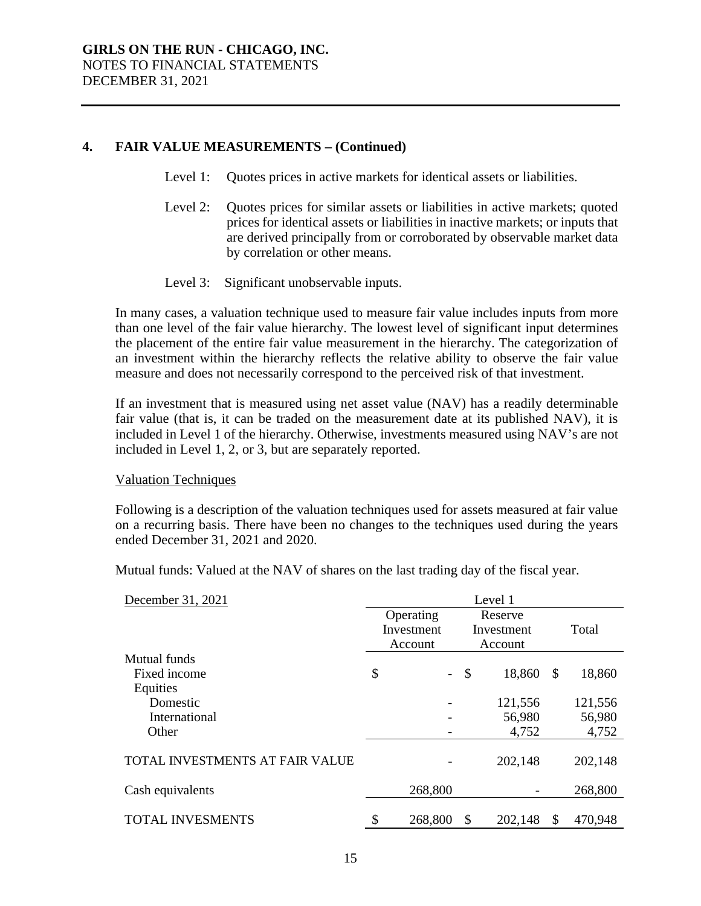## **4. FAIR VALUE MEASUREMENTS – (Continued)**

- Level 1: Quotes prices in active markets for identical assets or liabilities.
- Level 2: Quotes prices for similar assets or liabilities in active markets; quoted prices for identical assets or liabilities in inactive markets; or inputs that are derived principally from or corroborated by observable market data by correlation or other means.
- Level 3: Significant unobservable inputs.

In many cases, a valuation technique used to measure fair value includes inputs from more than one level of the fair value hierarchy. The lowest level of significant input determines the placement of the entire fair value measurement in the hierarchy. The categorization of an investment within the hierarchy reflects the relative ability to observe the fair value measure and does not necessarily correspond to the perceived risk of that investment.

If an investment that is measured using net asset value (NAV) has a readily determinable fair value (that is, it can be traded on the measurement date at its published NAV), it is included in Level 1 of the hierarchy. Otherwise, investments measured using NAV's are not included in Level 1, 2, or 3, but are separately reported.

#### Valuation Techniques

Following is a description of the valuation techniques used for assets measured at fair value on a recurring basis. There have been no changes to the techniques used during the years ended December 31, 2021 and 2020.

Mutual funds: Valued at the NAV of shares on the last trading day of the fiscal year.

| December 31, 2021                        | Level 1 |                                    |                                  |                            |    |                            |  |
|------------------------------------------|---------|------------------------------------|----------------------------------|----------------------------|----|----------------------------|--|
|                                          |         | Operating<br>Investment<br>Account | Reserve<br>Investment<br>Account |                            |    | Total                      |  |
| Mutual funds<br>Fixed income<br>Equities | \$      | $\sim$                             | \$                               | 18,860                     | S  | 18,860                     |  |
| Domestic<br>International<br>Other       |         |                                    |                                  | 121,556<br>56,980<br>4,752 |    | 121,556<br>56,980<br>4,752 |  |
| TOTAL INVESTMENTS AT FAIR VALUE          |         |                                    |                                  | 202,148                    |    | 202,148                    |  |
| Cash equivalents                         |         | 268,800                            |                                  |                            |    | 268,800                    |  |
| <b>TOTAL INVESMENTS</b>                  | \$      | 268,800                            | \$                               | 202,148                    | \$ | 470,948                    |  |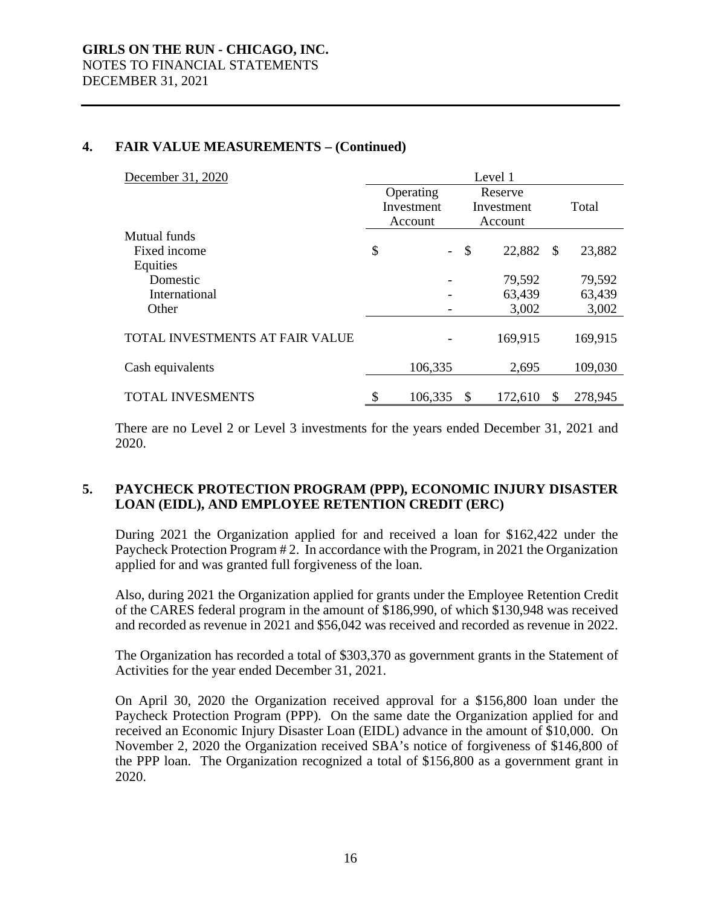## **4. FAIR VALUE MEASUREMENTS – (Continued)**

| December 31, 2020               | Level 1 |                                    |                                  |         |               |         |
|---------------------------------|---------|------------------------------------|----------------------------------|---------|---------------|---------|
|                                 |         | Operating<br>Investment<br>Account | Reserve<br>Investment<br>Account |         |               | Total   |
| <b>Mutual funds</b>             |         |                                    |                                  |         |               |         |
| Fixed income                    | \$      | $\equiv$                           | $\mathcal{S}$                    | 22,882  | $\mathcal{S}$ | 23,882  |
| Equities                        |         |                                    |                                  |         |               |         |
| Domestic                        |         |                                    |                                  | 79,592  |               | 79,592  |
| International                   |         |                                    |                                  | 63,439  |               | 63,439  |
| Other                           |         |                                    |                                  | 3,002   |               | 3,002   |
| TOTAL INVESTMENTS AT FAIR VALUE |         |                                    |                                  | 169,915 |               | 169,915 |
| Cash equivalents                |         | 106,335                            |                                  | 2,695   |               | 109,030 |
| <b>TOTAL INVESMENTS</b>         |         | 106,335                            | \$                               | 172,610 | \$            | 278,945 |

There are no Level 2 or Level 3 investments for the years ended December 31, 2021 and 2020.

# **5. PAYCHECK PROTECTION PROGRAM (PPP), ECONOMIC INJURY DISASTER LOAN (EIDL), AND EMPLOYEE RETENTION CREDIT (ERC)**

During 2021 the Organization applied for and received a loan for \$162,422 under the Paycheck Protection Program # 2. In accordance with the Program, in 2021 the Organization applied for and was granted full forgiveness of the loan.

Also, during 2021 the Organization applied for grants under the Employee Retention Credit of the CARES federal program in the amount of \$186,990, of which \$130,948 was received and recorded as revenue in 2021 and \$56,042 was received and recorded as revenue in 2022.

The Organization has recorded a total of \$303,370 as government grants in the Statement of Activities for the year ended December 31, 2021.

On April 30, 2020 the Organization received approval for a \$156,800 loan under the Paycheck Protection Program (PPP). On the same date the Organization applied for and received an Economic Injury Disaster Loan (EIDL) advance in the amount of \$10,000. On November 2, 2020 the Organization received SBA's notice of forgiveness of \$146,800 of the PPP loan. The Organization recognized a total of \$156,800 as a government grant in 2020.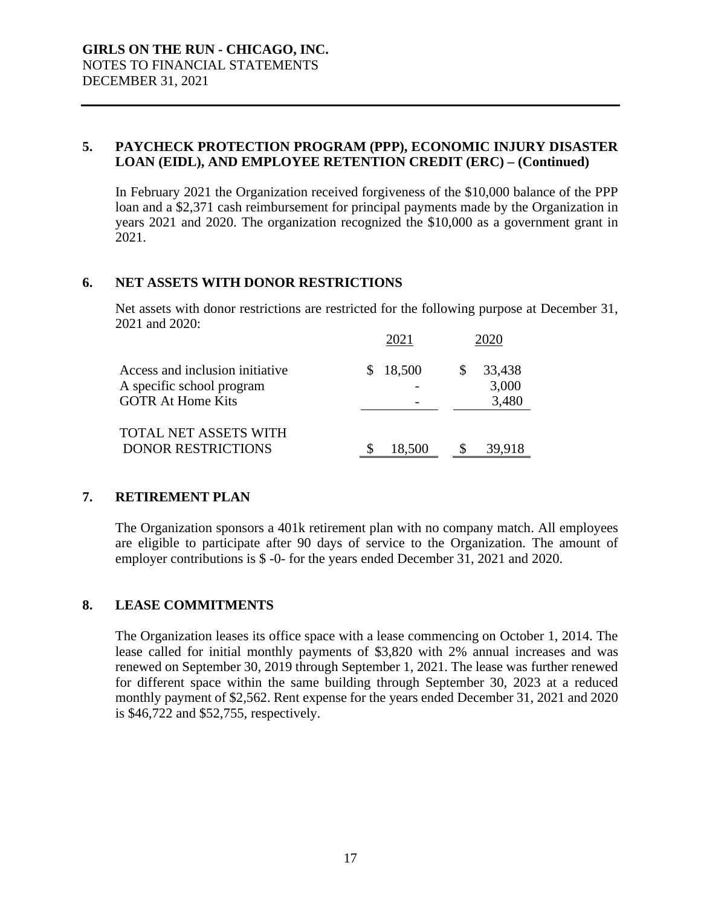## **5. PAYCHECK PROTECTION PROGRAM (PPP), ECONOMIC INJURY DISASTER LOAN (EIDL), AND EMPLOYEE RETENTION CREDIT (ERC) – (Continued)**

In February 2021 the Organization received forgiveness of the \$10,000 balance of the PPP loan and a \$2,371 cash reimbursement for principal payments made by the Organization in years 2021 and 2020. The organization recognized the \$10,000 as a government grant in 2021.

# **6. NET ASSETS WITH DONOR RESTRICTIONS**

Net assets with donor restrictions are restricted for the following purpose at December 31, 2021 and 2020:

|                                                                                          | 2021     |                                |
|------------------------------------------------------------------------------------------|----------|--------------------------------|
| Access and inclusion initiative<br>A specific school program<br><b>GOTR At Home Kits</b> | \$18,500 | 33,438<br>\$<br>3,000<br>3,480 |
| TOTAL NET ASSETS WITH<br><b>DONOR RESTRICTIONS</b>                                       | 18,500   | 39,918                         |

# **7. RETIREMENT PLAN**

The Organization sponsors a 401k retirement plan with no company match. All employees are eligible to participate after 90 days of service to the Organization. The amount of employer contributions is \$ -0- for the years ended December 31, 2021 and 2020.

# **8. LEASE COMMITMENTS**

The Organization leases its office space with a lease commencing on October 1, 2014. The lease called for initial monthly payments of \$3,820 with 2% annual increases and was renewed on September 30, 2019 through September 1, 2021. The lease was further renewed for different space within the same building through September 30, 2023 at a reduced monthly payment of \$2,562. Rent expense for the years ended December 31, 2021 and 2020 is \$46,722 and \$52,755, respectively.